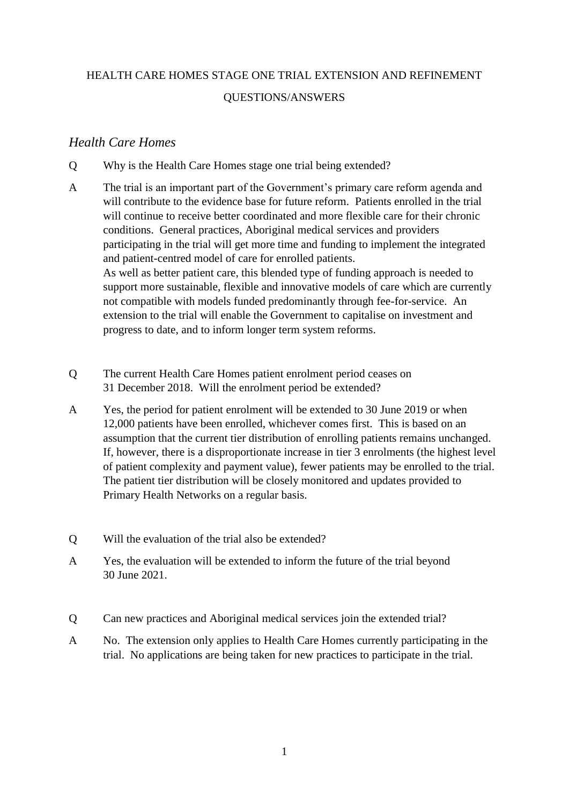## HEALTH CARE HOMES STAGE ONE TRIAL EXTENSION AND REFINEMENT QUESTIONS/ANSWERS

## *Health Care Homes*

- Q Why is the Health Care Homes stage one trial being extended?
- A The trial is an important part of the Government's primary care reform agenda and will contribute to the evidence base for future reform. Patients enrolled in the trial will continue to receive better coordinated and more flexible care for their chronic conditions. General practices, Aboriginal medical services and providers participating in the trial will get more time and funding to implement the integrated and patient-centred model of care for enrolled patients. As well as better patient care, this blended type of funding approach is needed to support more sustainable, flexible and innovative models of care which are currently not compatible with models funded predominantly through fee-for-service. An extension to the trial will enable the Government to capitalise on investment and progress to date, and to inform longer term system reforms.
- Q The current Health Care Homes patient enrolment period ceases on 31 December 2018. Will the enrolment period be extended?
- A Yes, the period for patient enrolment will be extended to 30 June 2019 or when 12,000 patients have been enrolled, whichever comes first. This is based on an assumption that the current tier distribution of enrolling patients remains unchanged. If, however, there is a disproportionate increase in tier 3 enrolments (the highest level of patient complexity and payment value), fewer patients may be enrolled to the trial. The patient tier distribution will be closely monitored and updates provided to Primary Health Networks on a regular basis.
- Q Will the evaluation of the trial also be extended?
- A Yes, the evaluation will be extended to inform the future of the trial beyond 30 June 2021.
- Q Can new practices and Aboriginal medical services join the extended trial?
- A No. The extension only applies to Health Care Homes currently participating in the trial. No applications are being taken for new practices to participate in the trial.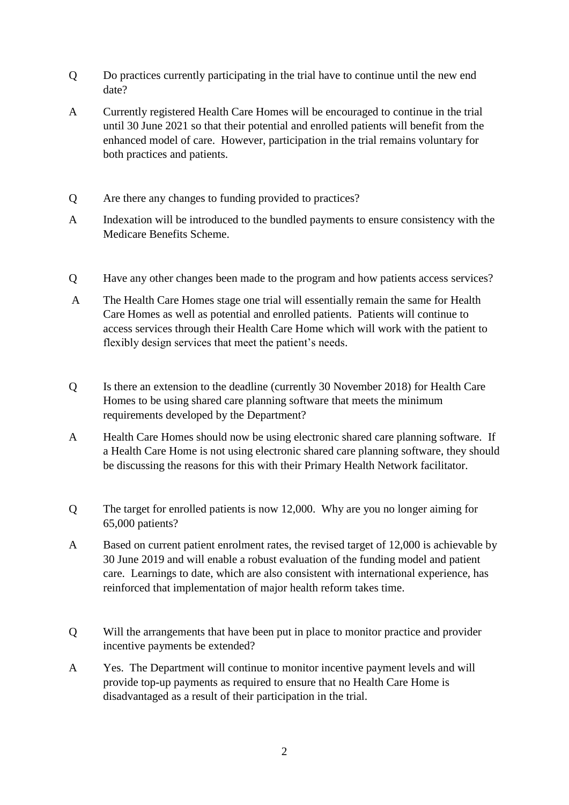- Q Do practices currently participating in the trial have to continue until the new end date?
- A Currently registered Health Care Homes will be encouraged to continue in the trial until 30 June 2021 so that their potential and enrolled patients will benefit from the enhanced model of care. However, participation in the trial remains voluntary for both practices and patients.
- Q Are there any changes to funding provided to practices?
- A Indexation will be introduced to the bundled payments to ensure consistency with the Medicare Benefits Scheme.
- Q Have any other changes been made to the program and how patients access services?
- A The Health Care Homes stage one trial will essentially remain the same for Health Care Homes as well as potential and enrolled patients. Patients will continue to access services through their Health Care Home which will work with the patient to flexibly design services that meet the patient's needs.
- Q Is there an extension to the deadline (currently 30 November 2018) for Health Care Homes to be using shared care planning software that meets the minimum requirements developed by the Department?
- A Health Care Homes should now be using electronic shared care planning software. If a Health Care Home is not using electronic shared care planning software, they should be discussing the reasons for this with their Primary Health Network facilitator.
- Q The target for enrolled patients is now 12,000. Why are you no longer aiming for 65,000 patients?
- A Based on current patient enrolment rates, the revised target of 12,000 is achievable by 30 June 2019 and will enable a robust evaluation of the funding model and patient care. Learnings to date, which are also consistent with international experience, has reinforced that implementation of major health reform takes time.
- Q Will the arrangements that have been put in place to monitor practice and provider incentive payments be extended?
- A Yes. The Department will continue to monitor incentive payment levels and will provide top-up payments as required to ensure that no Health Care Home is disadvantaged as a result of their participation in the trial.